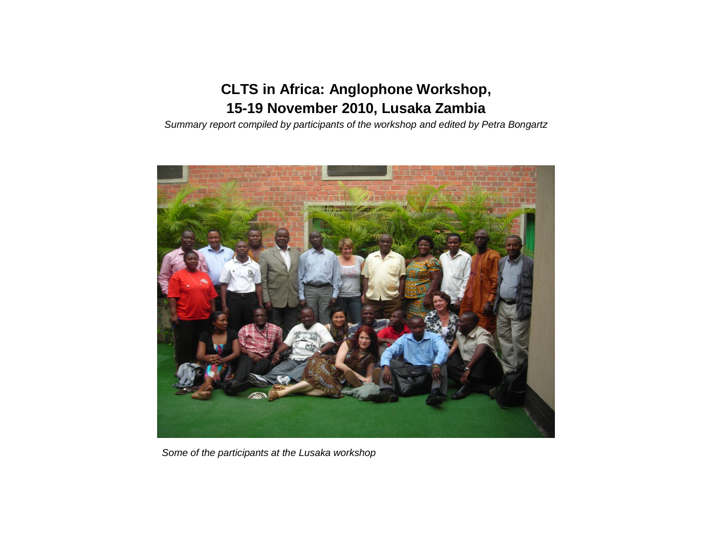# **CLTS in Africa: Anglophone Workshop, 15-19 November 2010, Lusaka Zambia**

*Summary report compiled by participants of the workshop and edited by Petra Bongartz*



*Some of the participants at the Lusaka workshop*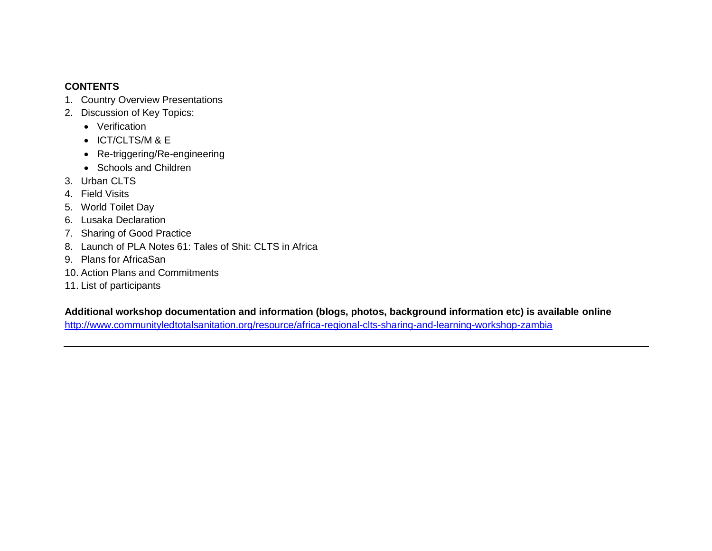#### **CONTENTS**

- 1. Country Overview Presentations
- 2. Discussion of Key Topics:
	- Verification
	- ICT/CLTS/M & E
	- Re-triggering/Re-engineering
	- Schools and Children
- 3. Urban CLTS
- 4. Field Visits
- 5. World Toilet Day
- 6. Lusaka Declaration
- 7. Sharing of Good Practice
- 8. Launch of PLA Notes 61: Tales of Shit: CLTS in Africa
- 9. Plans for AfricaSan
- 10. Action Plans and Commitments
- 11. List of participants

**Additional workshop documentation and information (blogs, photos, background information etc) is available online**

<http://www.communityledtotalsanitation.org/resource/africa-regional-clts-sharing-and-learning-workshop-zambia>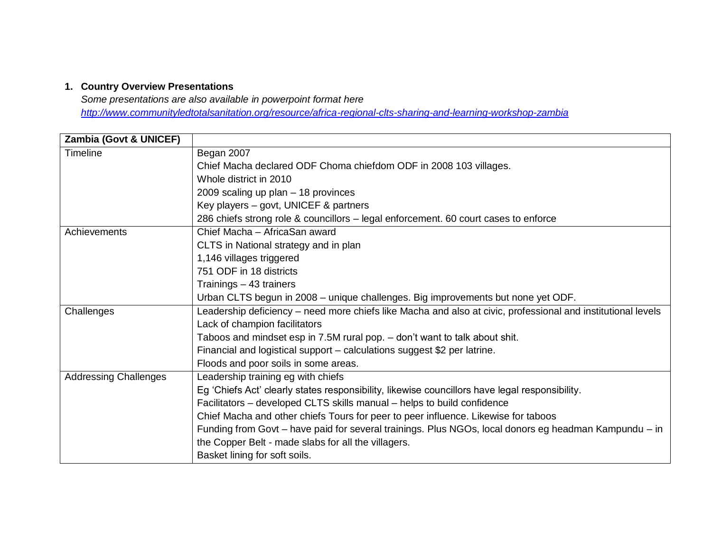#### **1. Country Overview Presentations**

*Some presentations are also available in powerpoint format here <http://www.communityledtotalsanitation.org/resource/africa-regional-clts-sharing-and-learning-workshop-zambia>*

| <b>Zambia (Govt &amp; UNICEF)</b> |                                                                                                              |
|-----------------------------------|--------------------------------------------------------------------------------------------------------------|
| Timeline                          | Began 2007                                                                                                   |
|                                   | Chief Macha declared ODF Choma chiefdom ODF in 2008 103 villages.                                            |
|                                   | Whole district in 2010                                                                                       |
|                                   | 2009 scaling up plan $-18$ provinces                                                                         |
|                                   | Key players - govt, UNICEF & partners                                                                        |
|                                   | 286 chiefs strong role & councillors – legal enforcement. 60 court cases to enforce                          |
| Achievements                      | Chief Macha - AfricaSan award                                                                                |
|                                   | CLTS in National strategy and in plan                                                                        |
|                                   | 1,146 villages triggered                                                                                     |
|                                   | 751 ODF in 18 districts                                                                                      |
|                                   | Trainings - 43 trainers                                                                                      |
|                                   | Urban CLTS begun in 2008 – unique challenges. Big improvements but none yet ODF.                             |
| Challenges                        | Leadership deficiency – need more chiefs like Macha and also at civic, professional and institutional levels |
|                                   | Lack of champion facilitators                                                                                |
|                                   | Taboos and mindset esp in 7.5M rural pop. - don't want to talk about shit.                                   |
|                                   | Financial and logistical support - calculations suggest \$2 per latrine.                                     |
|                                   | Floods and poor soils in some areas.                                                                         |
| <b>Addressing Challenges</b>      | Leadership training eg with chiefs                                                                           |
|                                   | Eg 'Chiefs Act' clearly states responsibility, likewise councillors have legal responsibility.               |
|                                   | Facilitators – developed CLTS skills manual – helps to build confidence                                      |
|                                   | Chief Macha and other chiefs Tours for peer to peer influence. Likewise for taboos                           |
|                                   | Funding from Govt - have paid for several trainings. Plus NGOs, local donors eg headman Kampundu - in        |
|                                   | the Copper Belt - made slabs for all the villagers.                                                          |
|                                   | Basket lining for soft soils.                                                                                |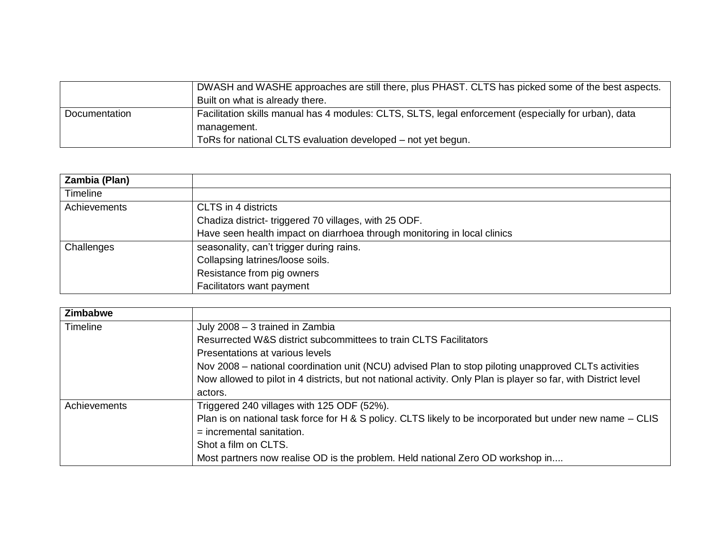|               | DWASH and WASHE approaches are still there, plus PHAST. CLTS has picked some of the best aspects.<br>Built on what is already there. |
|---------------|--------------------------------------------------------------------------------------------------------------------------------------|
| Documentation | Facilitation skills manual has 4 modules: CLTS, SLTS, legal enforcement (especially for urban), data                                 |
|               | management.                                                                                                                          |
|               | ToRs for national CLTS evaluation developed – not yet begun.                                                                         |

| Zambia (Plan)   |                                                                          |
|-----------------|--------------------------------------------------------------------------|
| <b>Timeline</b> |                                                                          |
| Achievements    | CLTS in 4 districts                                                      |
|                 | Chadiza district-triggered 70 villages, with 25 ODF.                     |
|                 | Have seen health impact on diarrhoea through monitoring in local clinics |
| Challenges      | seasonality, can't trigger during rains.                                 |
|                 | Collapsing latrines/loose soils.                                         |
|                 | Resistance from pig owners                                               |
|                 | Facilitators want payment                                                |

| <b>Zimbabwe</b> |                                                                                                                 |
|-----------------|-----------------------------------------------------------------------------------------------------------------|
| <b>Timeline</b> | July 2008 - 3 trained in Zambia                                                                                 |
|                 | Resurrected W&S district subcommittees to train CLTS Facilitators                                               |
|                 | Presentations at various levels                                                                                 |
|                 | Nov 2008 – national coordination unit (NCU) advised Plan to stop piloting unapproved CLTs activities            |
|                 | Now allowed to pilot in 4 districts, but not national activity. Only Plan is player so far, with District level |
|                 | actors.                                                                                                         |
| Achievements    | Triggered 240 villages with 125 ODF (52%).                                                                      |
|                 | Plan is on national task force for H & S policy. CLTS likely to be incorporated but under new name – CLIS       |
|                 | $=$ incremental sanitation.                                                                                     |
|                 | Shot a film on CLTS.                                                                                            |
|                 | Most partners now realise OD is the problem. Held national Zero OD workshop in                                  |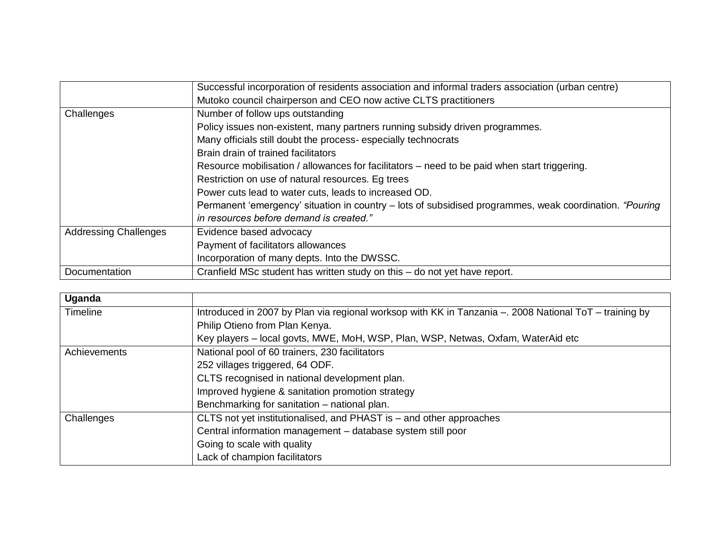|                              | Successful incorporation of residents association and informal traders association (urban centre)       |
|------------------------------|---------------------------------------------------------------------------------------------------------|
|                              | Mutoko council chairperson and CEO now active CLTS practitioners                                        |
| Challenges                   | Number of follow ups outstanding                                                                        |
|                              | Policy issues non-existent, many partners running subsidy driven programmes.                            |
|                              | Many officials still doubt the process-especially technocrats                                           |
|                              | Brain drain of trained facilitators                                                                     |
|                              | Resource mobilisation / allowances for facilitators – need to be paid when start triggering.            |
|                              | Restriction on use of natural resources. Eg trees                                                       |
|                              | Power cuts lead to water cuts, leads to increased OD.                                                   |
|                              | Permanent 'emergency' situation in country – lots of subsidised programmes, weak coordination. "Pouring |
|                              | in resources before demand is created."                                                                 |
| <b>Addressing Challenges</b> | Evidence based advocacy                                                                                 |
|                              | Payment of facilitators allowances                                                                      |
|                              | Incorporation of many depts. Into the DWSSC.                                                            |
| Documentation                | Cranfield MSc student has written study on this - do not yet have report.                               |

| Uganda          |                                                                                                       |
|-----------------|-------------------------------------------------------------------------------------------------------|
| <b>Timeline</b> | Introduced in 2007 by Plan via regional worksop with KK in Tanzania - 2008 National ToT - training by |
|                 | Philip Otieno from Plan Kenya.                                                                        |
|                 | Key players – local govts, MWE, MoH, WSP, Plan, WSP, Netwas, Oxfam, WaterAid etc                      |
| Achievements    | National pool of 60 trainers, 230 facilitators                                                        |
|                 | 252 villages triggered, 64 ODF.                                                                       |
|                 | CLTS recognised in national development plan.                                                         |
|                 | Improved hygiene & sanitation promotion strategy                                                      |
|                 | Benchmarking for sanitation – national plan.                                                          |
| Challenges      | CLTS not yet institutionalised, and PHAST is - and other approaches                                   |
|                 | Central information management - database system still poor                                           |
|                 | Going to scale with quality                                                                           |
|                 | Lack of champion facilitators                                                                         |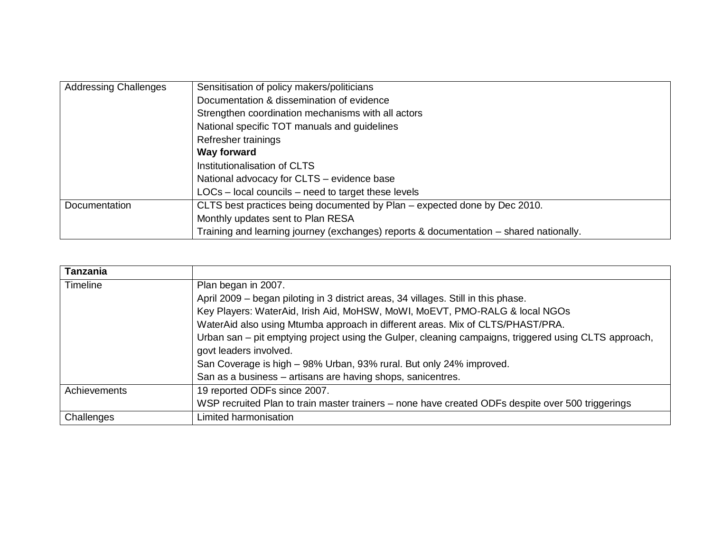| <b>Addressing Challenges</b> | Sensitisation of policy makers/politicians                                             |
|------------------------------|----------------------------------------------------------------------------------------|
|                              | Documentation & dissemination of evidence                                              |
|                              | Strengthen coordination mechanisms with all actors                                     |
|                              | National specific TOT manuals and guidelines                                           |
|                              | Refresher trainings                                                                    |
|                              | Way forward                                                                            |
|                              | Institutionalisation of CLTS                                                           |
|                              | National advocacy for CLTS – evidence base                                             |
|                              | LOCs - local councils - need to target these levels                                    |
| <b>Documentation</b>         | CLTS best practices being documented by Plan - expected done by Dec 2010.              |
|                              | Monthly updates sent to Plan RESA                                                      |
|                              | Training and learning journey (exchanges) reports & documentation – shared nationally. |

| <b>Tanzania</b> |                                                                                                       |
|-----------------|-------------------------------------------------------------------------------------------------------|
| Timeline        | Plan began in 2007.                                                                                   |
|                 | April 2009 – began piloting in 3 district areas, 34 villages. Still in this phase.                    |
|                 | Key Players: WaterAid, Irish Aid, MoHSW, MoWI, MoEVT, PMO-RALG & local NGOs                           |
|                 | WaterAid also using Mtumba approach in different areas. Mix of CLTS/PHAST/PRA.                        |
|                 | Urban san – pit emptying project using the Gulper, cleaning campaigns, triggered using CLTS approach, |
|                 | govt leaders involved.                                                                                |
|                 | San Coverage is high - 98% Urban, 93% rural. But only 24% improved.                                   |
|                 | San as a business - artisans are having shops, sanicentres.                                           |
| Achievements    | 19 reported ODFs since 2007.                                                                          |
|                 | WSP recruited Plan to train master trainers - none have created ODFs despite over 500 triggerings     |
| Challenges      | Limited harmonisation                                                                                 |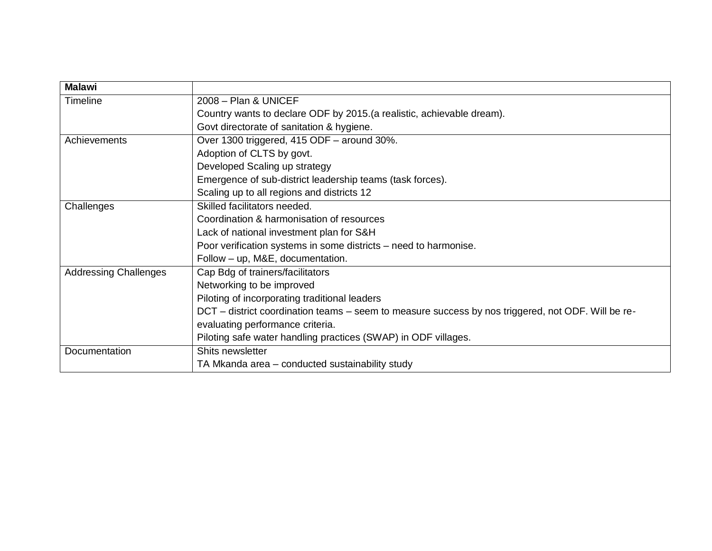| <b>Malawi</b>                |                                                                                                    |
|------------------------------|----------------------------------------------------------------------------------------------------|
| <b>Timeline</b>              | 2008 - Plan & UNICEF                                                                               |
|                              | Country wants to declare ODF by 2015. (a realistic, achievable dream).                             |
|                              | Govt directorate of sanitation & hygiene.                                                          |
| Achievements                 | Over 1300 triggered, 415 ODF - around 30%.                                                         |
|                              | Adoption of CLTS by govt.                                                                          |
|                              | Developed Scaling up strategy                                                                      |
|                              | Emergence of sub-district leadership teams (task forces).                                          |
|                              | Scaling up to all regions and districts 12                                                         |
| Challenges                   | Skilled facilitators needed.                                                                       |
|                              | Coordination & harmonisation of resources                                                          |
|                              | Lack of national investment plan for S&H                                                           |
|                              | Poor verification systems in some districts – need to harmonise.                                   |
|                              | Follow - up, M&E, documentation.                                                                   |
| <b>Addressing Challenges</b> | Cap Bdg of trainers/facilitators                                                                   |
|                              | Networking to be improved                                                                          |
|                              | Piloting of incorporating traditional leaders                                                      |
|                              | DCT – district coordination teams – seem to measure success by nos triggered, not ODF. Will be re- |
|                              | evaluating performance criteria.                                                                   |
|                              | Piloting safe water handling practices (SWAP) in ODF villages.                                     |
| Documentation                | Shits newsletter                                                                                   |
|                              | TA Mkanda area - conducted sustainability study                                                    |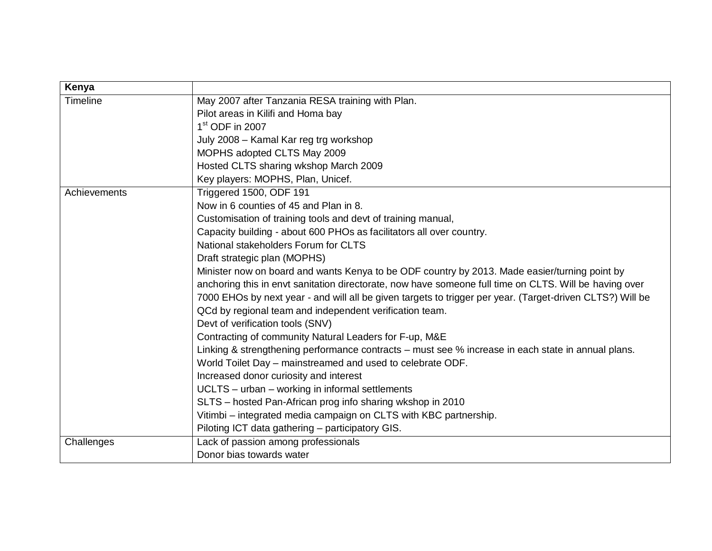| Kenya           |                                                                                                           |
|-----------------|-----------------------------------------------------------------------------------------------------------|
| <b>Timeline</b> | May 2007 after Tanzania RESA training with Plan.                                                          |
|                 | Pilot areas in Kilifi and Homa bay                                                                        |
|                 | $1st$ ODF in 2007                                                                                         |
|                 | July 2008 - Kamal Kar reg trg workshop                                                                    |
|                 | MOPHS adopted CLTS May 2009                                                                               |
|                 | Hosted CLTS sharing wkshop March 2009                                                                     |
|                 | Key players: MOPHS, Plan, Unicef.                                                                         |
| Achievements    | Triggered 1500, ODF 191                                                                                   |
|                 | Now in 6 counties of 45 and Plan in 8.                                                                    |
|                 | Customisation of training tools and devt of training manual,                                              |
|                 | Capacity building - about 600 PHOs as facilitators all over country.                                      |
|                 | National stakeholders Forum for CLTS                                                                      |
|                 | Draft strategic plan (MOPHS)                                                                              |
|                 | Minister now on board and wants Kenya to be ODF country by 2013. Made easier/turning point by             |
|                 | anchoring this in envt sanitation directorate, now have someone full time on CLTS. Will be having over    |
|                 | 7000 EHOs by next year - and will all be given targets to trigger per year. (Target-driven CLTS?) Will be |
|                 | QCd by regional team and independent verification team.                                                   |
|                 | Devt of verification tools (SNV)                                                                          |
|                 | Contracting of community Natural Leaders for F-up, M&E                                                    |
|                 | Linking & strengthening performance contracts - must see % increase in each state in annual plans.        |
|                 | World Toilet Day - mainstreamed and used to celebrate ODF.                                                |
|                 | Increased donor curiosity and interest                                                                    |
|                 | UCLTS - urban - working in informal settlements                                                           |
|                 | SLTS - hosted Pan-African prog info sharing wkshop in 2010                                                |
|                 | Vitimbi - integrated media campaign on CLTS with KBC partnership.                                         |
|                 | Piloting ICT data gathering - participatory GIS.                                                          |
| Challenges      | Lack of passion among professionals                                                                       |
|                 | Donor bias towards water                                                                                  |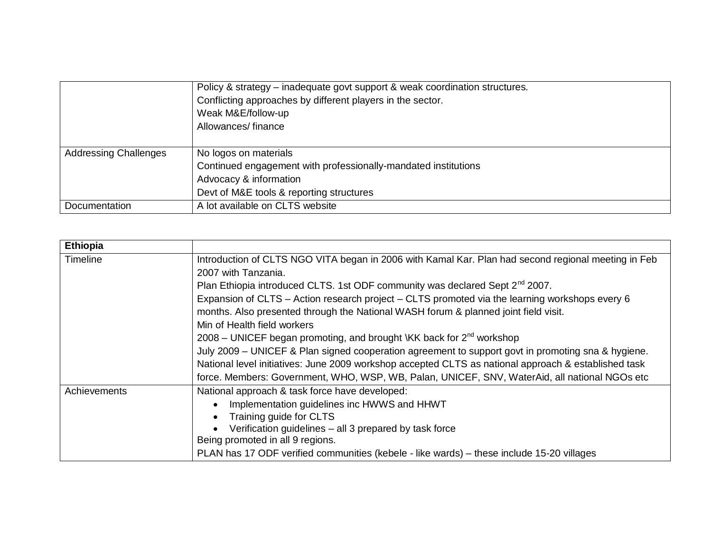|                              | Policy & strategy – inadequate govt support & weak coordination structures.<br>Conflicting approaches by different players in the sector.<br>Weak M&E/follow-up<br>Allowances/finance |
|------------------------------|---------------------------------------------------------------------------------------------------------------------------------------------------------------------------------------|
| <b>Addressing Challenges</b> | No logos on materials                                                                                                                                                                 |
|                              | Continued engagement with professionally-mandated institutions                                                                                                                        |
|                              | Advocacy & information                                                                                                                                                                |
|                              | Devt of M&E tools & reporting structures                                                                                                                                              |
| Documentation                | A lot available on CLTS website                                                                                                                                                       |

| <b>Ethiopia</b><br><b>Timeline</b> | Introduction of CLTS NGO VITA began in 2006 with Kamal Kar. Plan had second regional meeting in Feb<br>2007 with Tanzania.<br>Plan Ethiopia introduced CLTS. 1st ODF community was declared Sept 2 <sup>nd</sup> 2007.<br>Expansion of CLTS - Action research project - CLTS promoted via the learning workshops every 6<br>months. Also presented through the National WASH forum & planned joint field visit.<br>Min of Health field workers |
|------------------------------------|------------------------------------------------------------------------------------------------------------------------------------------------------------------------------------------------------------------------------------------------------------------------------------------------------------------------------------------------------------------------------------------------------------------------------------------------|
|                                    | 2008 – UNICEF began promoting, and brought \KK back for $2^{nd}$ workshop                                                                                                                                                                                                                                                                                                                                                                      |
|                                    | July 2009 - UNICEF & Plan signed cooperation agreement to support govt in promoting sna & hygiene.                                                                                                                                                                                                                                                                                                                                             |
|                                    | National level initiatives: June 2009 workshop accepted CLTS as national approach & established task                                                                                                                                                                                                                                                                                                                                           |
|                                    | force. Members: Government, WHO, WSP, WB, Palan, UNICEF, SNV, WaterAid, all national NGOs etc                                                                                                                                                                                                                                                                                                                                                  |
| Achievements                       | National approach & task force have developed:                                                                                                                                                                                                                                                                                                                                                                                                 |
|                                    | Implementation guidelines inc HWWS and HHWT                                                                                                                                                                                                                                                                                                                                                                                                    |
|                                    | Training guide for CLTS                                                                                                                                                                                                                                                                                                                                                                                                                        |
|                                    | Verification guidelines - all 3 prepared by task force                                                                                                                                                                                                                                                                                                                                                                                         |
|                                    | Being promoted in all 9 regions.                                                                                                                                                                                                                                                                                                                                                                                                               |
|                                    | PLAN has 17 ODF verified communities (kebele - like wards) – these include 15-20 villages                                                                                                                                                                                                                                                                                                                                                      |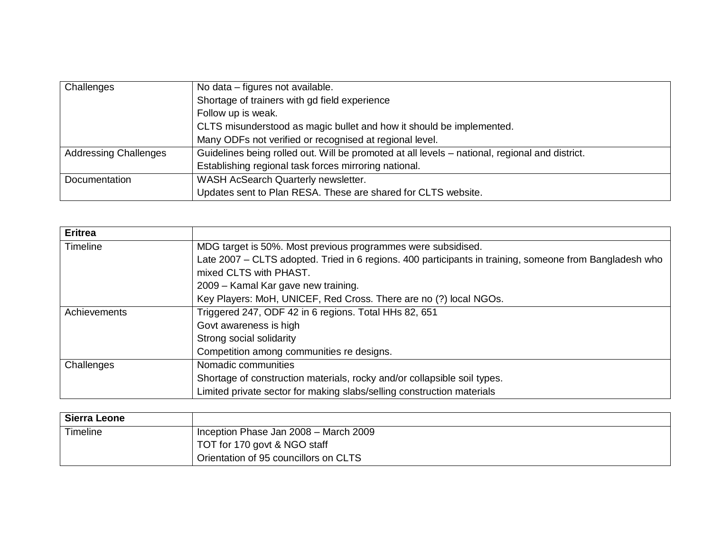| Challenges                   | No data - figures not available.                                                               |  |  |  |
|------------------------------|------------------------------------------------------------------------------------------------|--|--|--|
|                              | Shortage of trainers with gd field experience                                                  |  |  |  |
|                              | Follow up is weak.                                                                             |  |  |  |
|                              | CLTS misunderstood as magic bullet and how it should be implemented.                           |  |  |  |
|                              | Many ODFs not verified or recognised at regional level.                                        |  |  |  |
| <b>Addressing Challenges</b> | Guidelines being rolled out. Will be promoted at all levels - national, regional and district. |  |  |  |
|                              | Establishing regional task forces mirroring national.                                          |  |  |  |
| Documentation                | WASH AcSearch Quarterly newsletter.                                                            |  |  |  |
|                              | Updates sent to Plan RESA. These are shared for CLTS website.                                  |  |  |  |

| <b>Eritrea</b>                                                        |                                                                                                         |  |  |  |  |
|-----------------------------------------------------------------------|---------------------------------------------------------------------------------------------------------|--|--|--|--|
| Timeline                                                              | MDG target is 50%. Most previous programmes were subsidised.                                            |  |  |  |  |
|                                                                       | Late 2007 – CLTS adopted. Tried in 6 regions. 400 participants in training, someone from Bangladesh who |  |  |  |  |
|                                                                       | mixed CLTS with PHAST.                                                                                  |  |  |  |  |
|                                                                       | 2009 – Kamal Kar gave new training.                                                                     |  |  |  |  |
|                                                                       | Key Players: MoH, UNICEF, Red Cross. There are no (?) local NGOs.                                       |  |  |  |  |
| Triggered 247, ODF 42 in 6 regions. Total HHs 82, 651<br>Achievements |                                                                                                         |  |  |  |  |
|                                                                       | Govt awareness is high                                                                                  |  |  |  |  |
|                                                                       | Strong social solidarity                                                                                |  |  |  |  |
|                                                                       | Competition among communities re designs.                                                               |  |  |  |  |
| Challenges                                                            | Nomadic communities                                                                                     |  |  |  |  |
|                                                                       | Shortage of construction materials, rocky and/or collapsible soil types.                                |  |  |  |  |
|                                                                       | Limited private sector for making slabs/selling construction materials                                  |  |  |  |  |

| Sierra Leone |                                                    |
|--------------|----------------------------------------------------|
| Timeline     | Inception Phase Jan 2008 - March 2009              |
|              | TOT for 170 govt & NGO staff                       |
|              | <sup>1</sup> Orientation of 95 councillors on CLTS |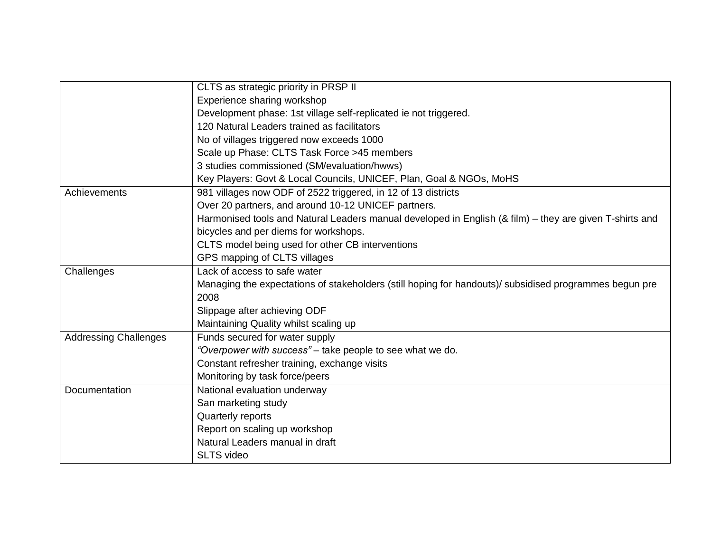|                              | CLTS as strategic priority in PRSP II                                                                   |  |  |  |  |
|------------------------------|---------------------------------------------------------------------------------------------------------|--|--|--|--|
|                              | Experience sharing workshop                                                                             |  |  |  |  |
|                              | Development phase: 1st village self-replicated ie not triggered.                                        |  |  |  |  |
|                              | 120 Natural Leaders trained as facilitators                                                             |  |  |  |  |
|                              | No of villages triggered now exceeds 1000                                                               |  |  |  |  |
|                              | Scale up Phase: CLTS Task Force >45 members                                                             |  |  |  |  |
|                              | 3 studies commissioned (SM/evaluation/hwws)                                                             |  |  |  |  |
|                              | Key Players: Govt & Local Councils, UNICEF, Plan, Goal & NGOs, MoHS                                     |  |  |  |  |
| Achievements                 | 981 villages now ODF of 2522 triggered, in 12 of 13 districts                                           |  |  |  |  |
|                              | Over 20 partners, and around 10-12 UNICEF partners.                                                     |  |  |  |  |
|                              | Harmonised tools and Natural Leaders manual developed in English (& film) – they are given T-shirts and |  |  |  |  |
|                              | bicycles and per diems for workshops.                                                                   |  |  |  |  |
|                              | CLTS model being used for other CB interventions                                                        |  |  |  |  |
|                              | GPS mapping of CLTS villages                                                                            |  |  |  |  |
| Challenges                   | Lack of access to safe water                                                                            |  |  |  |  |
|                              | Managing the expectations of stakeholders (still hoping for handouts)/ subsidised programmes begun pre  |  |  |  |  |
|                              | 2008                                                                                                    |  |  |  |  |
|                              | Slippage after achieving ODF                                                                            |  |  |  |  |
|                              | Maintaining Quality whilst scaling up                                                                   |  |  |  |  |
| <b>Addressing Challenges</b> | Funds secured for water supply                                                                          |  |  |  |  |
|                              | "Overpower with success" - take people to see what we do.                                               |  |  |  |  |
|                              | Constant refresher training, exchange visits                                                            |  |  |  |  |
|                              | Monitoring by task force/peers                                                                          |  |  |  |  |
| Documentation                | National evaluation underway                                                                            |  |  |  |  |
|                              | San marketing study                                                                                     |  |  |  |  |
|                              | Quarterly reports                                                                                       |  |  |  |  |
|                              | Report on scaling up workshop                                                                           |  |  |  |  |
|                              | Natural Leaders manual in draft                                                                         |  |  |  |  |
|                              | <b>SLTS</b> video                                                                                       |  |  |  |  |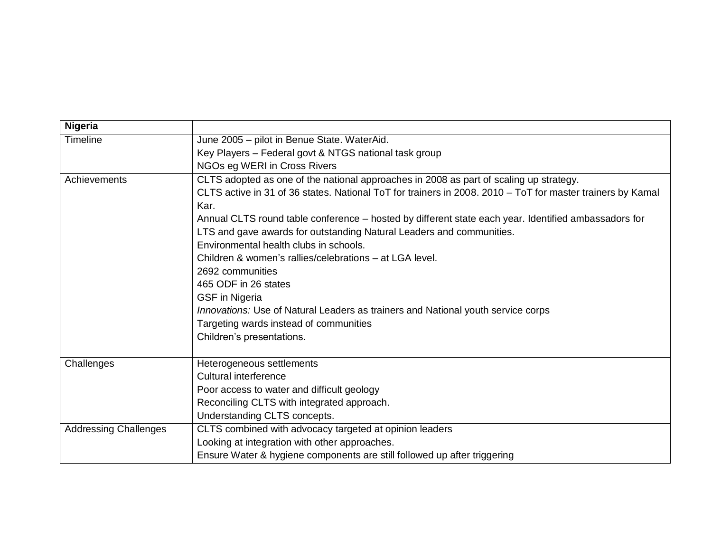| <b>Nigeria</b>               |                                                                                                            |  |  |  |
|------------------------------|------------------------------------------------------------------------------------------------------------|--|--|--|
| <b>Timeline</b>              | June 2005 - pilot in Benue State. WaterAid.                                                                |  |  |  |
|                              | Key Players - Federal govt & NTGS national task group                                                      |  |  |  |
|                              | NGOs eg WERI in Cross Rivers                                                                               |  |  |  |
| Achievements                 | CLTS adopted as one of the national approaches in 2008 as part of scaling up strategy.                     |  |  |  |
|                              | CLTS active in 31 of 36 states. National ToT for trainers in 2008. 2010 - ToT for master trainers by Kamal |  |  |  |
|                              | Kar.                                                                                                       |  |  |  |
|                              | Annual CLTS round table conference - hosted by different state each year. Identified ambassadors for       |  |  |  |
|                              | LTS and gave awards for outstanding Natural Leaders and communities.                                       |  |  |  |
|                              | Environmental health clubs in schools.                                                                     |  |  |  |
|                              | Children & women's rallies/celebrations – at LGA level.                                                    |  |  |  |
|                              | 2692 communities                                                                                           |  |  |  |
|                              | 465 ODF in 26 states                                                                                       |  |  |  |
|                              | <b>GSF</b> in Nigeria                                                                                      |  |  |  |
|                              | Innovations: Use of Natural Leaders as trainers and National youth service corps                           |  |  |  |
|                              | Targeting wards instead of communities                                                                     |  |  |  |
|                              | Children's presentations.                                                                                  |  |  |  |
|                              |                                                                                                            |  |  |  |
| Challenges                   | Heterogeneous settlements                                                                                  |  |  |  |
|                              | Cultural interference                                                                                      |  |  |  |
|                              | Poor access to water and difficult geology                                                                 |  |  |  |
|                              | Reconciling CLTS with integrated approach.                                                                 |  |  |  |
|                              | Understanding CLTS concepts.                                                                               |  |  |  |
| <b>Addressing Challenges</b> | CLTS combined with advocacy targeted at opinion leaders                                                    |  |  |  |
|                              | Looking at integration with other approaches.                                                              |  |  |  |
|                              | Ensure Water & hygiene components are still followed up after triggering                                   |  |  |  |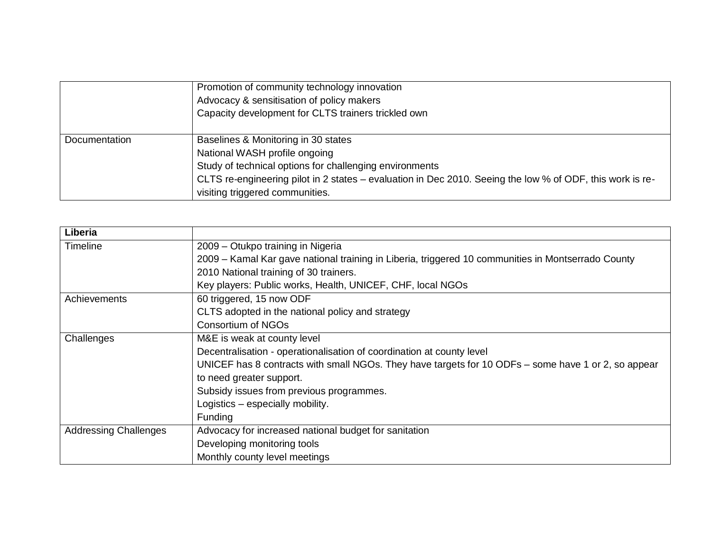|               | Promotion of community technology innovation<br>Advocacy & sensitisation of policy makers<br>Capacity development for CLTS trainers trickled own                                                                                                                                |
|---------------|---------------------------------------------------------------------------------------------------------------------------------------------------------------------------------------------------------------------------------------------------------------------------------|
| Documentation | Baselines & Monitoring in 30 states<br>National WASH profile ongoing<br>Study of technical options for challenging environments<br>CLTS re-engineering pilot in 2 states – evaluation in Dec 2010. Seeing the low % of ODF, this work is re-<br>visiting triggered communities. |

| Liberia                      |                                                                                                     |  |  |  |  |
|------------------------------|-----------------------------------------------------------------------------------------------------|--|--|--|--|
| <b>Timeline</b>              | 2009 – Otukpo training in Nigeria                                                                   |  |  |  |  |
|                              | 2009 - Kamal Kar gave national training in Liberia, triggered 10 communities in Montserrado County  |  |  |  |  |
|                              | 2010 National training of 30 trainers.                                                              |  |  |  |  |
|                              | Key players: Public works, Health, UNICEF, CHF, local NGOs                                          |  |  |  |  |
| Achievements                 | 60 triggered, 15 now ODF                                                                            |  |  |  |  |
|                              | CLTS adopted in the national policy and strategy                                                    |  |  |  |  |
|                              | <b>Consortium of NGOs</b>                                                                           |  |  |  |  |
| Challenges                   | M&E is weak at county level                                                                         |  |  |  |  |
|                              | Decentralisation - operationalisation of coordination at county level                               |  |  |  |  |
|                              | UNICEF has 8 contracts with small NGOs. They have targets for 10 ODFs - some have 1 or 2, so appear |  |  |  |  |
|                              | to need greater support.                                                                            |  |  |  |  |
|                              | Subsidy issues from previous programmes.                                                            |  |  |  |  |
|                              | Logistics - especially mobility.                                                                    |  |  |  |  |
|                              | Funding                                                                                             |  |  |  |  |
| <b>Addressing Challenges</b> | Advocacy for increased national budget for sanitation                                               |  |  |  |  |
|                              | Developing monitoring tools                                                                         |  |  |  |  |
|                              | Monthly county level meetings                                                                       |  |  |  |  |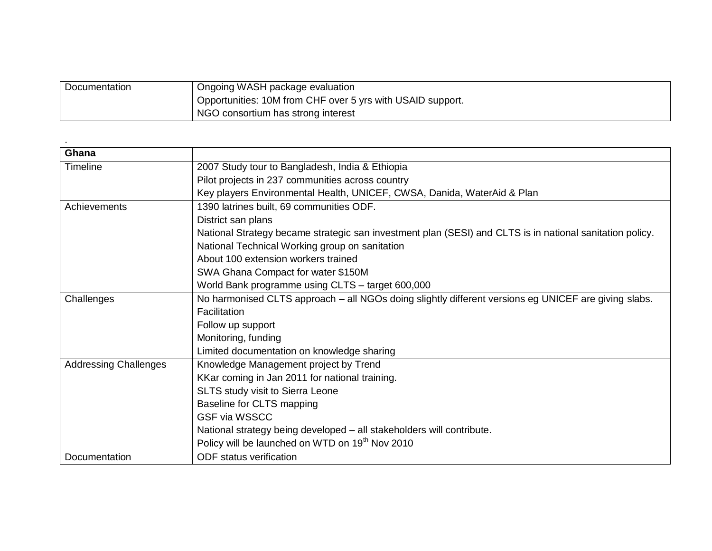| Documentation | Ongoing WASH package evaluation                            |
|---------------|------------------------------------------------------------|
|               | Opportunities: 10M from CHF over 5 yrs with USAID support. |
|               | NGO consortium has strong interest                         |

| Ghana                        |                                                                                                          |  |  |  |
|------------------------------|----------------------------------------------------------------------------------------------------------|--|--|--|
| <b>Timeline</b>              | 2007 Study tour to Bangladesh, India & Ethiopia                                                          |  |  |  |
|                              | Pilot projects in 237 communities across country                                                         |  |  |  |
|                              | Key players Environmental Health, UNICEF, CWSA, Danida, WaterAid & Plan                                  |  |  |  |
| Achievements                 | 1390 latrines built, 69 communities ODF.                                                                 |  |  |  |
|                              | District san plans                                                                                       |  |  |  |
|                              | National Strategy became strategic san investment plan (SESI) and CLTS is in national sanitation policy. |  |  |  |
|                              | National Technical Working group on sanitation                                                           |  |  |  |
|                              | About 100 extension workers trained                                                                      |  |  |  |
|                              | SWA Ghana Compact for water \$150M                                                                       |  |  |  |
|                              | World Bank programme using CLTS - target 600,000                                                         |  |  |  |
| Challenges                   | No harmonised CLTS approach - all NGOs doing slightly different versions eg UNICEF are giving slabs.     |  |  |  |
|                              | Facilitation                                                                                             |  |  |  |
|                              | Follow up support                                                                                        |  |  |  |
|                              | Monitoring, funding                                                                                      |  |  |  |
|                              | Limited documentation on knowledge sharing                                                               |  |  |  |
| <b>Addressing Challenges</b> | Knowledge Management project by Trend                                                                    |  |  |  |
|                              | KKar coming in Jan 2011 for national training.                                                           |  |  |  |
|                              | SLTS study visit to Sierra Leone                                                                         |  |  |  |
|                              | Baseline for CLTS mapping                                                                                |  |  |  |
|                              | <b>GSF via WSSCC</b>                                                                                     |  |  |  |
|                              | National strategy being developed - all stakeholders will contribute.                                    |  |  |  |
|                              | Policy will be launched on WTD on 19 <sup>th</sup> Nov 2010                                              |  |  |  |
| Documentation                | <b>ODF</b> status verification                                                                           |  |  |  |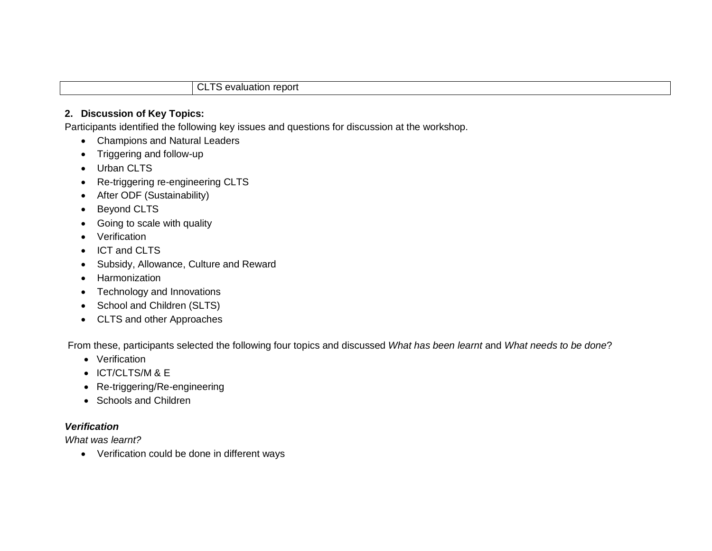#### CLTS evaluation report

#### **2. Discussion of Key Topics:**

Participants identified the following key issues and questions for discussion at the workshop.

- Champions and Natural Leaders
- Triggering and follow-up
- Urban CLTS
- Re-triggering re-engineering CLTS
- After ODF (Sustainability)
- Beyond CLTS
- Going to scale with quality
- Verification
- ICT and CLTS
- Subsidy, Allowance, Culture and Reward
- Harmonization
- Technology and Innovations
- School and Children (SLTS)
- CLTS and other Approaches

From these, participants selected the following four topics and discussed *What has been learnt* and *What needs to be done*?

- Verification
- ICT/CLTS/M & E
- Re-triggering/Re-engineering
- Schools and Children

### *Verification*

*What was learnt?*

Verification could be done in different ways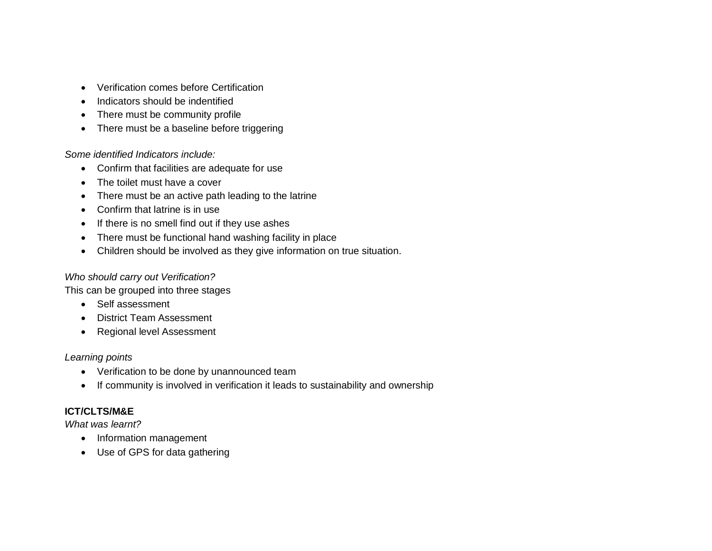- Verification comes before Certification
- Indicators should be indentified
- There must be community profile
- There must be a baseline before triggering

#### *Some identified Indicators include:*

- Confirm that facilities are adequate for use
- The toilet must have a cover
- There must be an active path leading to the latrine
- Confirm that latrine is in use
- If there is no smell find out if they use ashes
- There must be functional hand washing facility in place
- Children should be involved as they give information on true situation.

#### *Who should carry out Verification?*

This can be grouped into three stages

- Self assessment
- District Team Assessment
- Regional level Assessment

#### *Learning points*

- Verification to be done by unannounced team
- If community is involved in verification it leads to sustainability and ownership

### **ICT/CLTS/M&E**

*What was learnt?* 

- Information management
- Use of GPS for data gathering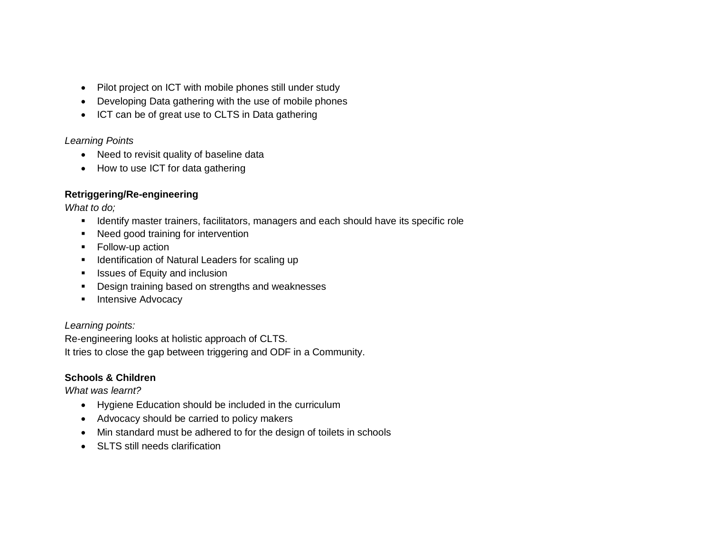- Pilot project on ICT with mobile phones still under study
- Developing Data gathering with the use of mobile phones
- ICT can be of great use to CLTS in Data gathering

### *Learning Points*

- Need to revisit quality of baseline data
- How to use ICT for data gathering

### **Retriggering/Re-engineering**

*What to do;*

- **Interative master trainers, facilitators, managers and each should have its specific role**
- Need good training for intervention
- Follow-up action
- **IDENT** Identification of Natural Leaders for scaling up
- **In Itsues of Equity and inclusion**
- **•** Design training based on strengths and weaknesses
- **Intensive Advocacy**

*Learning points:*

Re-engineering looks at holistic approach of CLTS. It tries to close the gap between triggering and ODF in a Community.

### **Schools & Children**

*What was learnt?*

- Hygiene Education should be included in the curriculum
- Advocacy should be carried to policy makers
- Min standard must be adhered to for the design of toilets in schools
- SLTS still needs clarification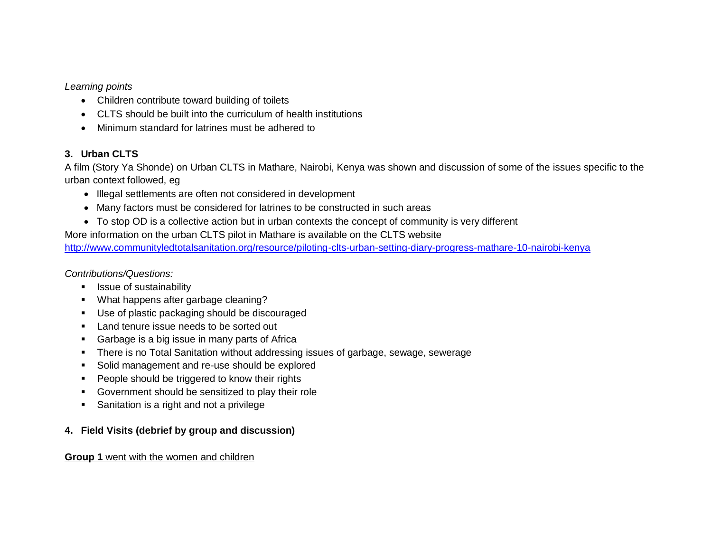*Learning points*

- Children contribute toward building of toilets
- CLTS should be built into the curriculum of health institutions
- Minimum standard for latrines must be adhered to

### **3. Urban CLTS**

A film (Story Ya Shonde) on Urban CLTS in Mathare, Nairobi, Kenya was shown and discussion of some of the issues specific to the urban context followed, eg

- Illegal settlements are often not considered in development
- Many factors must be considered for latrines to be constructed in such areas
- To stop OD is a collective action but in urban contexts the concept of community is very different

More information on the urban CLTS pilot in Mathare is available on the CLTS website

<http://www.communityledtotalsanitation.org/resource/piloting-clts-urban-setting-diary-progress-mathare-10-nairobi-kenya>

*Contributions/Questions:*

- **EXECUTE:** Issue of sustainability
- **What happens after garbage cleaning?**
- Use of plastic packaging should be discouraged
- **Land tenure issue needs to be sorted out**
- **Garbage is a big issue in many parts of Africa**
- There is no Total Sanitation without addressing issues of garbage, sewage, sewerage
- **Solid management and re-use should be explored**
- **People should be triggered to know their rights**
- Government should be sensitized to play their role
- **Sanitation is a right and not a privilege**

### **4. Field Visits (debrief by group and discussion)**

#### **Group 1** went with the women and children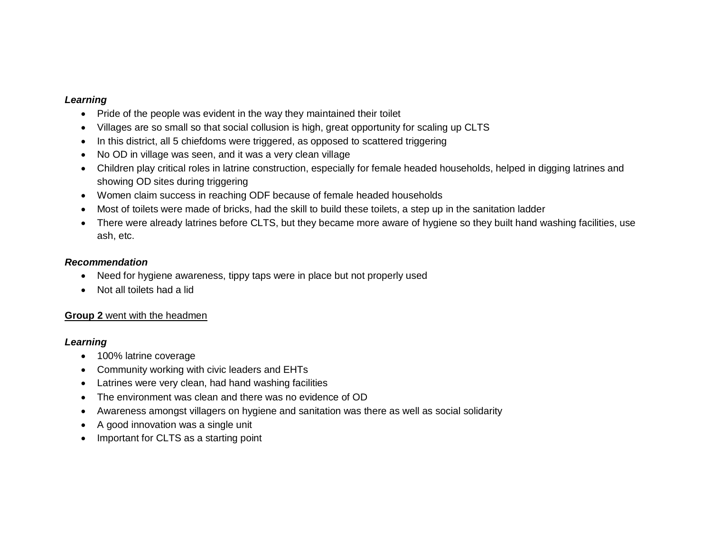#### *Learning*

- Pride of the people was evident in the way they maintained their toilet
- Villages are so small so that social collusion is high, great opportunity for scaling up CLTS
- In this district, all 5 chiefdoms were triggered, as opposed to scattered triggering
- No OD in village was seen, and it was a very clean village
- Children play critical roles in latrine construction, especially for female headed households, helped in digging latrines and showing OD sites during triggering
- Women claim success in reaching ODF because of female headed households
- Most of toilets were made of bricks, had the skill to build these toilets, a step up in the sanitation ladder
- There were already latrines before CLTS, but they became more aware of hygiene so they built hand washing facilities, use ash, etc.

#### *Recommendation*

- Need for hygiene awareness, tippy taps were in place but not properly used
- Not all toilets had a lid

#### **Group 2** went with the headmen

#### *Learning*

- 100% latrine coverage
- Community working with civic leaders and EHTs
- Latrines were very clean, had hand washing facilities
- The environment was clean and there was no evidence of OD
- Awareness amongst villagers on hygiene and sanitation was there as well as social solidarity
- A good innovation was a single unit
- Important for CLTS as a starting point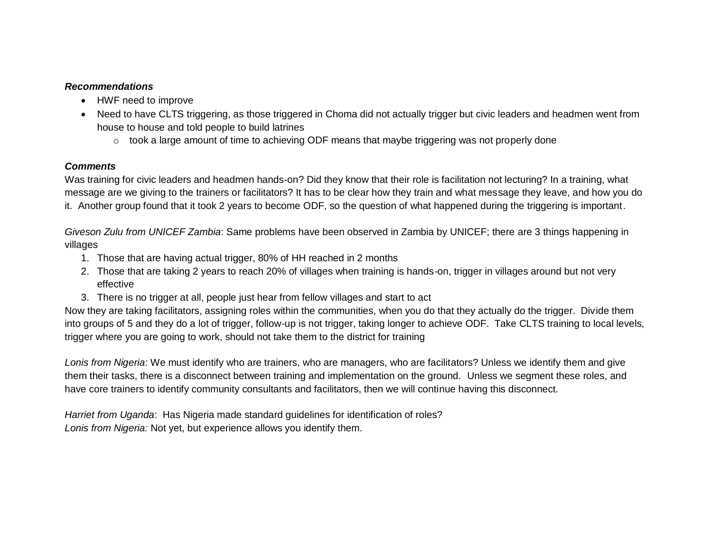#### *Recommendations*

- HWF need to improve
- Need to have CLTS triggering, as those triggered in Choma did not actually trigger but civic leaders and headmen went from house to house and told people to build latrines
	- $\circ$  took a large amount of time to achieving ODF means that maybe triggering was not properly done

### *Comments*

Was training for civic leaders and headmen hands-on? Did they know that their role is facilitation not lecturing? In a training, what message are we giving to the trainers or facilitators? It has to be clear how they train and what message they leave, and how you do it. Another group found that it took 2 years to become ODF, so the question of what happened during the triggering is important.

*Giveson Zulu from UNICEF Zambia*: Same problems have been observed in Zambia by UNICEF; there are 3 things happening in villages

- 1. Those that are having actual trigger, 80% of HH reached in 2 months
- 2. Those that are taking 2 years to reach 20% of villages when training is hands-on, trigger in villages around but not very effective
- 3. There is no trigger at all, people just hear from fellow villages and start to act

Now they are taking facilitators, assigning roles within the communities, when you do that they actually do the trigger. Divide them into groups of 5 and they do a lot of trigger, follow-up is not trigger, taking longer to achieve ODF. Take CLTS training to local levels, trigger where you are going to work, should not take them to the district for training

*Lonis from Nigeria*: We must identify who are trainers, who are managers, who are facilitators? Unless we identify them and give them their tasks, there is a disconnect between training and implementation on the ground. Unless we segment these roles, and have core trainers to identify community consultants and facilitators, then we will continue having this disconnect.

*Harriet from Uganda*: Has Nigeria made standard guidelines for identification of roles? *Lonis from Nigeria:* Not yet, but experience allows you identify them.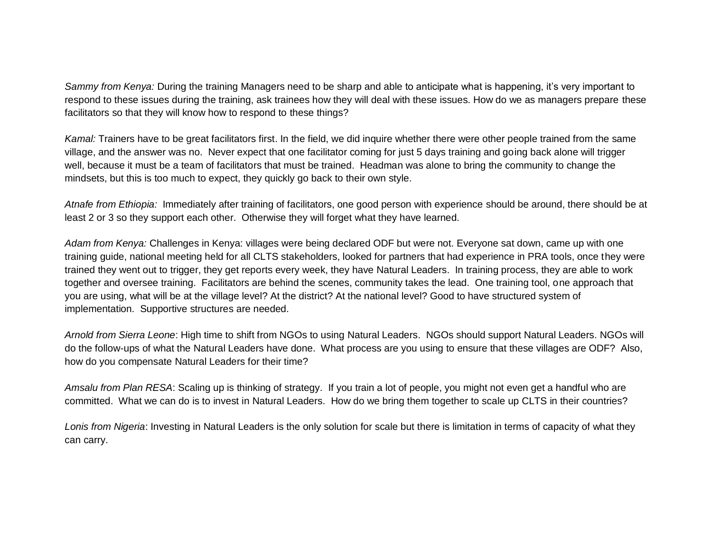*Sammy from Kenya:* During the training Managers need to be sharp and able to anticipate what is happening, it"s very important to respond to these issues during the training, ask trainees how they will deal with these issues. How do we as managers prepare these facilitators so that they will know how to respond to these things?

*Kamal:* Trainers have to be great facilitators first. In the field, we did inquire whether there were other people trained from the same village, and the answer was no. Never expect that one facilitator coming for just 5 days training and going back alone will trigger well, because it must be a team of facilitators that must be trained. Headman was alone to bring the community to change the mindsets, but this is too much to expect, they quickly go back to their own style.

*Atnafe from Ethiopia:* Immediately after training of facilitators, one good person with experience should be around, there should be at least 2 or 3 so they support each other. Otherwise they will forget what they have learned.

*Adam from Kenya:* Challenges in Kenya: villages were being declared ODF but were not. Everyone sat down, came up with one training guide, national meeting held for all CLTS stakeholders, looked for partners that had experience in PRA tools, once they were trained they went out to trigger, they get reports every week, they have Natural Leaders. In training process, they are able to work together and oversee training. Facilitators are behind the scenes, community takes the lead. One training tool, one approach that you are using, what will be at the village level? At the district? At the national level? Good to have structured system of implementation. Supportive structures are needed.

*Arnold from Sierra Leone*: High time to shift from NGOs to using Natural Leaders. NGOs should support Natural Leaders. NGOs will do the follow-ups of what the Natural Leaders have done. What process are you using to ensure that these villages are ODF? Also, how do you compensate Natural Leaders for their time?

*Amsalu from Plan RESA*: Scaling up is thinking of strategy. If you train a lot of people, you might not even get a handful who are committed. What we can do is to invest in Natural Leaders. How do we bring them together to scale up CLTS in their countries?

*Lonis from Nigeria*: Investing in Natural Leaders is the only solution for scale but there is limitation in terms of capacity of what they can carry.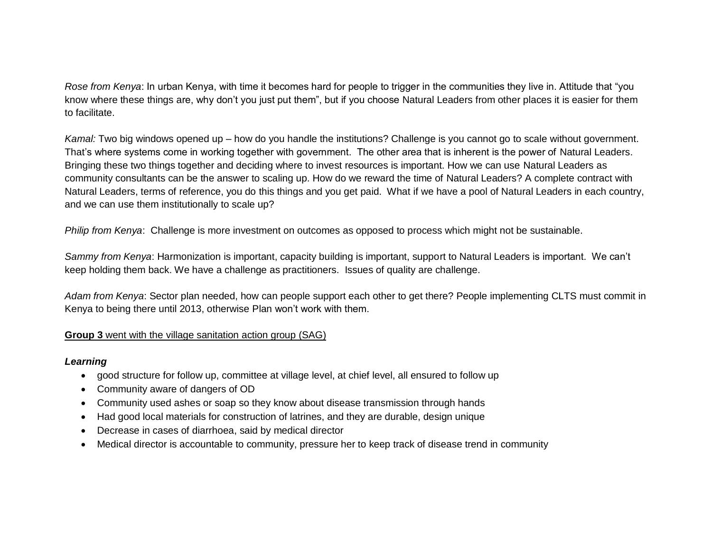*Rose from Kenya*: In urban Kenya, with time it becomes hard for people to trigger in the communities they live in. Attitude that "you know where these things are, why don"t you just put them", but if you choose Natural Leaders from other places it is easier for them to facilitate.

*Kamal:* Two big windows opened up – how do you handle the institutions? Challenge is you cannot go to scale without government. That"s where systems come in working together with government. The other area that is inherent is the power of Natural Leaders. Bringing these two things together and deciding where to invest resources is important. How we can use Natural Leaders as community consultants can be the answer to scaling up. How do we reward the time of Natural Leaders? A complete contract with Natural Leaders, terms of reference, you do this things and you get paid. What if we have a pool of Natural Leaders in each country, and we can use them institutionally to scale up?

*Philip from Kenya*: Challenge is more investment on outcomes as opposed to process which might not be sustainable.

*Sammy from Kenya*: Harmonization is important, capacity building is important, support to Natural Leaders is important. We can"t keep holding them back. We have a challenge as practitioners. Issues of quality are challenge.

*Adam from Kenya*: Sector plan needed, how can people support each other to get there? People implementing CLTS must commit in Kenya to being there until 2013, otherwise Plan won"t work with them.

#### **Group 3** went with the village sanitation action group (SAG)

#### *Learning*

- good structure for follow up, committee at village level, at chief level, all ensured to follow up
- Community aware of dangers of OD
- Community used ashes or soap so they know about disease transmission through hands
- Had good local materials for construction of latrines, and they are durable, design unique
- Decrease in cases of diarrhoea, said by medical director
- Medical director is accountable to community, pressure her to keep track of disease trend in community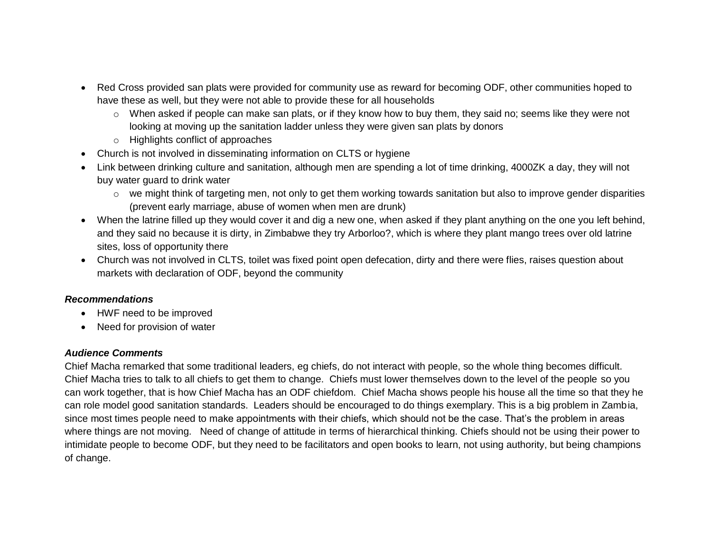- Red Cross provided san plats were provided for community use as reward for becoming ODF, other communities hoped to have these as well, but they were not able to provide these for all households
	- $\circ$  When asked if people can make san plats, or if they know how to buy them, they said no; seems like they were not looking at moving up the sanitation ladder unless they were given san plats by donors
	- o Highlights conflict of approaches
- Church is not involved in disseminating information on CLTS or hygiene
- Link between drinking culture and sanitation, although men are spending a lot of time drinking, 4000ZK a day, they will not buy water guard to drink water
	- $\circ$  we might think of targeting men, not only to get them working towards sanitation but also to improve gender disparities (prevent early marriage, abuse of women when men are drunk)
- When the latrine filled up they would cover it and dig a new one, when asked if they plant anything on the one you left behind, and they said no because it is dirty, in Zimbabwe they try Arborloo?, which is where they plant mango trees over old latrine sites, loss of opportunity there
- Church was not involved in CLTS, toilet was fixed point open defecation, dirty and there were flies, raises question about markets with declaration of ODF, beyond the community

#### *Recommendations*

- HWF need to be improved
- Need for provision of water

#### *Audience Comments*

Chief Macha remarked that some traditional leaders, eg chiefs, do not interact with people, so the whole thing becomes difficult. Chief Macha tries to talk to all chiefs to get them to change. Chiefs must lower themselves down to the level of the people so you can work together, that is how Chief Macha has an ODF chiefdom. Chief Macha shows people his house all the time so that they he can role model good sanitation standards. Leaders should be encouraged to do things exemplary. This is a big problem in Zambia, since most times people need to make appointments with their chiefs, which should not be the case. That"s the problem in areas where things are not moving. Need of change of attitude in terms of hierarchical thinking. Chiefs should not be using their power to intimidate people to become ODF, but they need to be facilitators and open books to learn, not using authority, but being champions of change.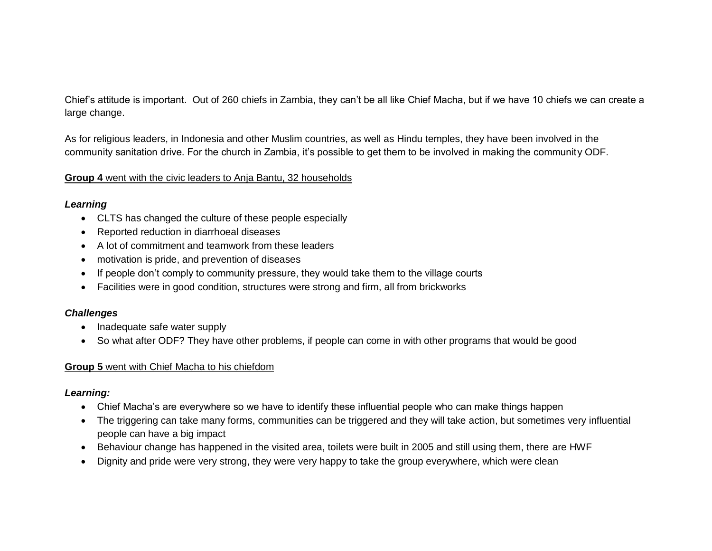Chief"s attitude is important. Out of 260 chiefs in Zambia, they can"t be all like Chief Macha, but if we have 10 chiefs we can create a large change.

As for religious leaders, in Indonesia and other Muslim countries, as well as Hindu temples, they have been involved in the community sanitation drive. For the church in Zambia, it"s possible to get them to be involved in making the community ODF.

#### **Group 4** went with the civic leaders to Anja Bantu, 32 households

#### *Learning*

- CLTS has changed the culture of these people especially
- Reported reduction in diarrhoeal diseases
- A lot of commitment and teamwork from these leaders
- motivation is pride, and prevention of diseases
- If people don't comply to community pressure, they would take them to the village courts
- Facilities were in good condition, structures were strong and firm, all from brickworks

### *Challenges*

- Inadequate safe water supply
- So what after ODF? They have other problems, if people can come in with other programs that would be good

### **Group 5** went with Chief Macha to his chiefdom

### *Learning:*

- Chief Macha"s are everywhere so we have to identify these influential people who can make things happen
- The triggering can take many forms, communities can be triggered and they will take action, but sometimes very influential people can have a big impact
- Behaviour change has happened in the visited area, toilets were built in 2005 and still using them, there are HWF
- Dignity and pride were very strong, they were very happy to take the group everywhere, which were clean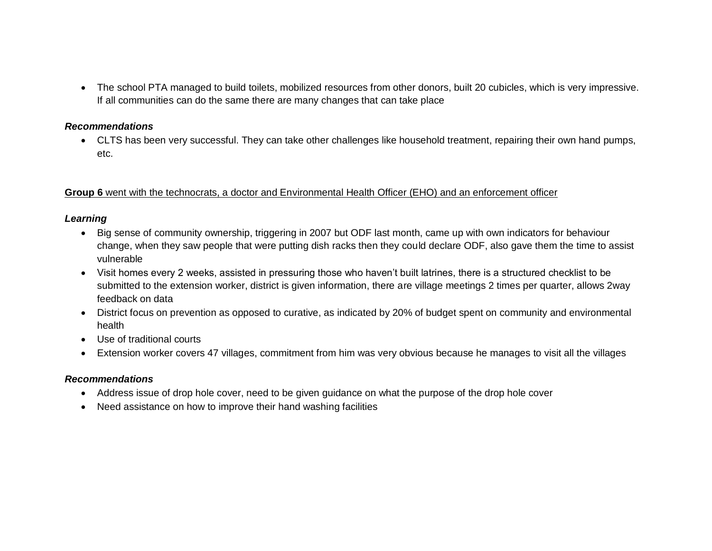The school PTA managed to build toilets, mobilized resources from other donors, built 20 cubicles, which is very impressive. If all communities can do the same there are many changes that can take place

#### *Recommendations*

 CLTS has been very successful. They can take other challenges like household treatment, repairing their own hand pumps, etc.

#### **Group 6** went with the technocrats, a doctor and Environmental Health Officer (EHO) and an enforcement officer

#### *Learning*

- Big sense of community ownership, triggering in 2007 but ODF last month, came up with own indicators for behaviour change, when they saw people that were putting dish racks then they could declare ODF, also gave them the time to assist vulnerable
- Visit homes every 2 weeks, assisted in pressuring those who haven"t built latrines, there is a structured checklist to be submitted to the extension worker, district is given information, there are village meetings 2 times per quarter, allows 2way feedback on data
- District focus on prevention as opposed to curative, as indicated by 20% of budget spent on community and environmental health
- Use of traditional courts
- Extension worker covers 47 villages, commitment from him was very obvious because he manages to visit all the villages

#### *Recommendations*

- Address issue of drop hole cover, need to be given guidance on what the purpose of the drop hole cover
- Need assistance on how to improve their hand washing facilities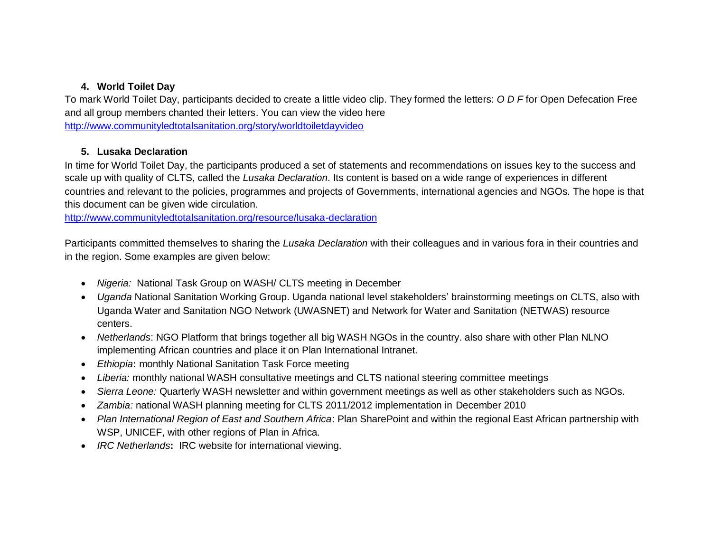### **4. World Toilet Day**

To mark World Toilet Day, participants decided to create a little video clip. They formed the letters: *O D F* for Open Defecation Free and all group members chanted their letters. You can view the video here [http://www.communityledtotalsanitation.org/story/worldtoiletdayvideo](http://www.communityledtotalsanitation.org/story/world-toilet-day-video)

### **5. Lusaka Declaration**

In time for World Toilet Day, the participants produced a set of statements and recommendations on issues key to the success and scale up with quality of CLTS, called the *Lusaka Declaration*. Its content is based on a wide range of experiences in different countries and relevant to the policies, programmes and projects of Governments, international agencies and NGOs. The hope is that this document can be given wide circulation.

<http://www.communityledtotalsanitation.org/resource/lusaka-declaration>

Participants committed themselves to sharing the *Lusaka Declaration* with their colleagues and in various fora in their countries and in the region. Some examples are given below:

- *Nigeria:* National Task Group on WASH/ CLTS meeting in December
- *Uganda* National Sanitation Working Group. Uganda national level stakeholders" brainstorming meetings on CLTS, also with Uganda Water and Sanitation NGO Network (UWASNET) and Network for Water and Sanitation (NETWAS) resource centers.
- *Netherlands*: NGO Platform that brings together all big WASH NGOs in the country. also share with other Plan NLNO implementing African countries and place it on Plan International Intranet.
- *Ethiopia***:** monthly National Sanitation Task Force meeting
- *Liberia:* monthly national WASH consultative meetings and CLTS national steering committee meetings
- *Sierra Leone:* Quarterly WASH newsletter and within government meetings as well as other stakeholders such as NGOs.
- *Zambia:* national WASH planning meeting for CLTS 2011/2012 implementation in December 2010
- *Plan International Region of East and Southern Africa*: Plan SharePoint and within the regional East African partnership with WSP, UNICEF, with other regions of Plan in Africa.
- *IRC Netherlands***:** IRC website for international viewing.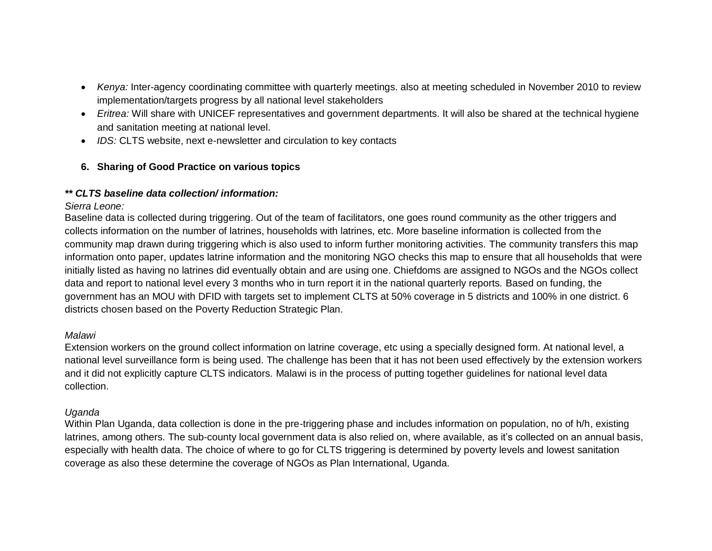- *Kenya:* Inter-agency coordinating committee with quarterly meetings. also at meeting scheduled in November 2010 to review implementation/targets progress by all national level stakeholders
- *Eritrea:* Will share with UNICEF representatives and government departments. It will also be shared at the technical hygiene and sanitation meeting at national level.
- *IDS:* CLTS website, next e-newsletter and circulation to key contacts

### **6. Sharing of Good Practice on various topics**

### *\*\* CLTS baseline data collection/ information:*

### *Sierra Leone:*

Baseline data is collected during triggering. Out of the team of facilitators, one goes round community as the other triggers and collects information on the number of latrines, households with latrines, etc. More baseline information is collected from the community map drawn during triggering which is also used to inform further monitoring activities. The community transfers this map information onto paper, updates latrine information and the monitoring NGO checks this map to ensure that all households that were initially listed as having no latrines did eventually obtain and are using one. Chiefdoms are assigned to NGOs and the NGOs collect data and report to national level every 3 months who in turn report it in the national quarterly reports. Based on funding, the government has an MOU with DFID with targets set to implement CLTS at 50% coverage in 5 districts and 100% in one district. 6 districts chosen based on the Poverty Reduction Strategic Plan.

### *Malawi*

Extension workers on the ground collect information on latrine coverage, etc using a specially designed form. At national level, a national level surveillance form is being used. The challenge has been that it has not been used effectively by the extension workers and it did not explicitly capture CLTS indicators. Malawi is in the process of putting together guidelines for national level data collection.

### *Uganda*

Within Plan Uganda, data collection is done in the pre-triggering phase and includes information on population, no of h/h, existing latrines, among others. The sub-county local government data is also relied on, where available, as it"s collected on an annual basis, especially with health data. The choice of where to go for CLTS triggering is determined by poverty levels and lowest sanitation coverage as also these determine the coverage of NGOs as Plan International, Uganda.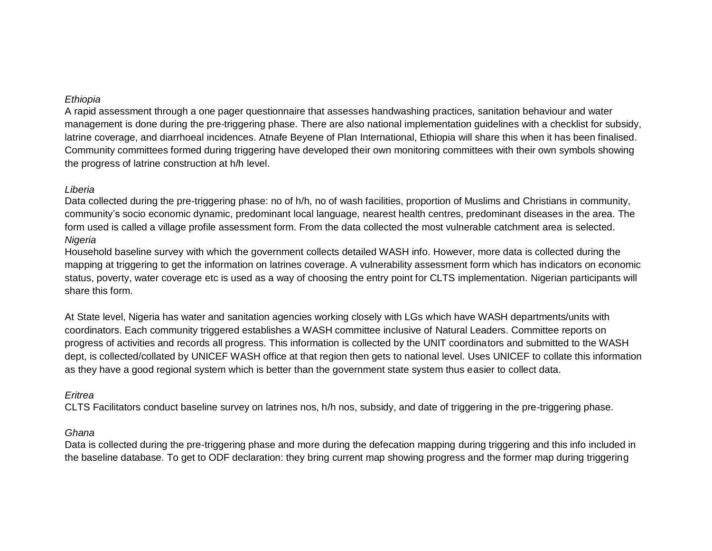#### *Ethiopia*

A rapid assessment through a one pager questionnaire that assesses handwashing practices, sanitation behaviour and water management is done during the pre-triggering phase. There are also national implementation guidelines with a checklist for subsidy, latrine coverage, and diarrhoeal incidences. Atnafe Beyene of Plan International, Ethiopia will share this when it has been finalised. Community committees formed during triggering have developed their own monitoring committees with their own symbols showing the progress of latrine construction at h/h level.

#### *Liberia*

Data collected during the pre-triggering phase: no of h/h, no of wash facilities, proportion of Muslims and Christians in community, community"s socio economic dynamic, predominant local language, nearest health centres, predominant diseases in the area. The form used is called a village profile assessment form. From the data collected the most vulnerable catchment area is selected. *Nigeria*

Household baseline survey with which the government collects detailed WASH info. However, more data is collected during the mapping at triggering to get the information on latrines coverage. A vulnerability assessment form which has indicators on economic status, poverty, water coverage etc is used as a way of choosing the entry point for CLTS implementation. Nigerian participants will share this form.

At State level, Nigeria has water and sanitation agencies working closely with LGs which have WASH departments/units with coordinators. Each community triggered establishes a WASH committee inclusive of Natural Leaders. Committee reports on progress of activities and records all progress. This information is collected by the UNIT coordinators and submitted to the WASH dept, is collected/collated by UNICEF WASH office at that region then gets to national level. Uses UNICEF to collate this information as they have a good regional system which is better than the government state system thus easier to collect data.

#### *Eritrea*

CLTS Facilitators conduct baseline survey on latrines nos, h/h nos, subsidy, and date of triggering in the pre-triggering phase.

#### *Ghana*

Data is collected during the pre-triggering phase and more during the defecation mapping during triggering and this info included in the baseline database. To get to ODF declaration: they bring current map showing progress and the former map during triggering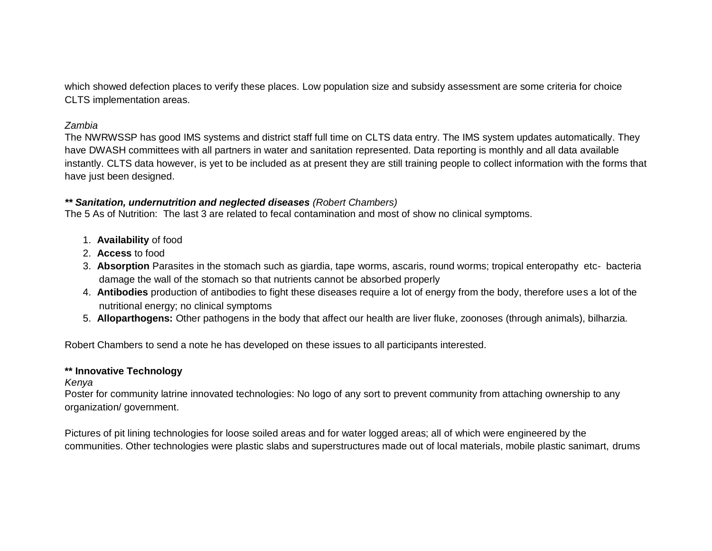which showed defection places to verify these places. Low population size and subsidy assessment are some criteria for choice CLTS implementation areas.

#### *Zambia*

The NWRWSSP has good IMS systems and district staff full time on CLTS data entry. The IMS system updates automatically. They have DWASH committees with all partners in water and sanitation represented. Data reporting is monthly and all data available instantly. CLTS data however, is yet to be included as at present they are still training people to collect information with the forms that have just been designed.

#### *\*\* Sanitation, undernutrition and neglected diseases (Robert Chambers)*

The 5 As of Nutrition: The last 3 are related to fecal contamination and most of show no clinical symptoms.

- 1. **Availability** of food
- 2. **Access** to food
- 3. **Absorption** Parasites in the stomach such as giardia, tape worms, ascaris, round worms; tropical enteropathy etc- bacteria damage the wall of the stomach so that nutrients cannot be absorbed properly
- 4. **Antibodies** production of antibodies to fight these diseases require a lot of energy from the body, therefore uses a lot of the nutritional energy; no clinical symptoms
- 5. **Alloparthogens:** Other pathogens in the body that affect our health are liver fluke, zoonoses (through animals), bilharzia.

Robert Chambers to send a note he has developed on these issues to all participants interested.

#### **\*\* Innovative Technology**

#### *Kenya*

Poster for community latrine innovated technologies: No logo of any sort to prevent community from attaching ownership to any organization/ government.

Pictures of pit lining technologies for loose soiled areas and for water logged areas; all of which were engineered by the communities. Other technologies were plastic slabs and superstructures made out of local materials, mobile plastic sanimart, drums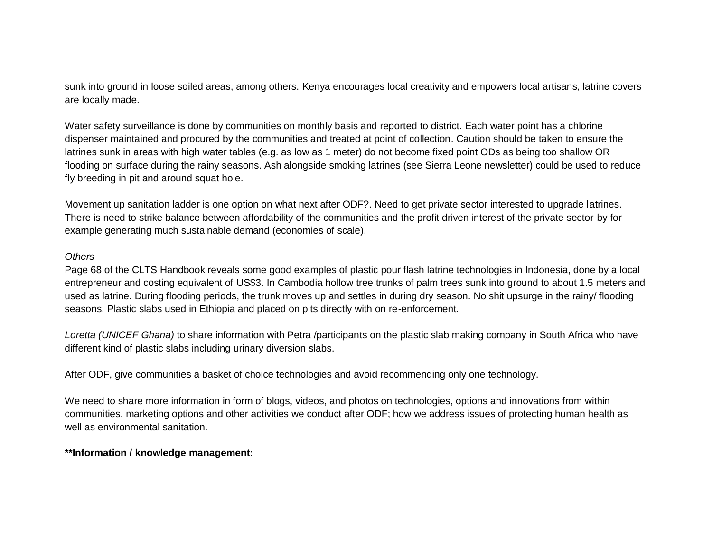sunk into ground in loose soiled areas, among others. Kenya encourages local creativity and empowers local artisans, latrine covers are locally made.

Water safety surveillance is done by communities on monthly basis and reported to district. Each water point has a chlorine dispenser maintained and procured by the communities and treated at point of collection. Caution should be taken to ensure the latrines sunk in areas with high water tables (e.g. as low as 1 meter) do not become fixed point ODs as being too shallow OR flooding on surface during the rainy seasons. Ash alongside smoking latrines (see Sierra Leone newsletter) could be used to reduce fly breeding in pit and around squat hole.

Movement up sanitation ladder is one option on what next after ODF?. Need to get private sector interested to upgrade latrines. There is need to strike balance between affordability of the communities and the profit driven interest of the private sector by for example generating much sustainable demand (economies of scale).

#### *Others*

Page 68 of the CLTS Handbook reveals some good examples of plastic pour flash latrine technologies in Indonesia, done by a local entrepreneur and costing equivalent of US\$3. In Cambodia hollow tree trunks of palm trees sunk into ground to about 1.5 meters and used as latrine. During flooding periods, the trunk moves up and settles in during dry season. No shit upsurge in the rainy/ flooding seasons. Plastic slabs used in Ethiopia and placed on pits directly with on re-enforcement.

*Loretta (UNICEF Ghana)* to share information with Petra /participants on the plastic slab making company in South Africa who have different kind of plastic slabs including urinary diversion slabs.

After ODF, give communities a basket of choice technologies and avoid recommending only one technology.

We need to share more information in form of blogs, videos, and photos on technologies, options and innovations from within communities, marketing options and other activities we conduct after ODF; how we address issues of protecting human health as well as environmental sanitation.

#### **\*\*Information / knowledge management:**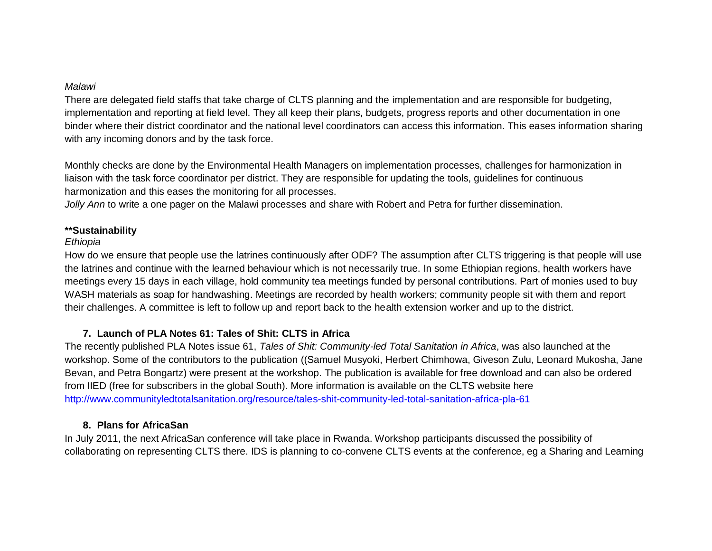#### *Malawi*

There are delegated field staffs that take charge of CLTS planning and the implementation and are responsible for budgeting, implementation and reporting at field level. They all keep their plans, budgets, progress reports and other documentation in one binder where their district coordinator and the national level coordinators can access this information. This eases information sharing with any incoming donors and by the task force.

Monthly checks are done by the Environmental Health Managers on implementation processes, challenges for harmonization in liaison with the task force coordinator per district. They are responsible for updating the tools, guidelines for continuous harmonization and this eases the monitoring for all processes.

*Jolly Ann* to write a one pager on the Malawi processes and share with Robert and Petra for further dissemination.

#### **\*\*Sustainability**

#### *Ethiopia*

How do we ensure that people use the latrines continuously after ODF? The assumption after CLTS triggering is that people will use the latrines and continue with the learned behaviour which is not necessarily true. In some Ethiopian regions, health workers have meetings every 15 days in each village, hold community tea meetings funded by personal contributions. Part of monies used to buy WASH materials as soap for handwashing. Meetings are recorded by health workers; community people sit with them and report their challenges. A committee is left to follow up and report back to the health extension worker and up to the district.

#### **7. Launch of PLA Notes 61: Tales of Shit: CLTS in Africa**

The recently published PLA Notes issue 61, *Tales of Shit: Community-led Total Sanitation in Africa*, was also launched at the workshop. Some of the contributors to the publication ((Samuel Musyoki, Herbert Chimhowa, Giveson Zulu, Leonard Mukosha, Jane Bevan, and Petra Bongartz) were present at the workshop. The publication is available for free download and can also be ordered from IIED (free for subscribers in the global South). More information is available on the CLTS website here <http://www.communityledtotalsanitation.org/resource/tales-shit-community-led-total-sanitation-africa-pla-61>

### **8. Plans for AfricaSan**

In July 2011, the next AfricaSan conference will take place in Rwanda. Workshop participants discussed the possibility of collaborating on representing CLTS there. IDS is planning to co-convene CLTS events at the conference, eg a Sharing and Learning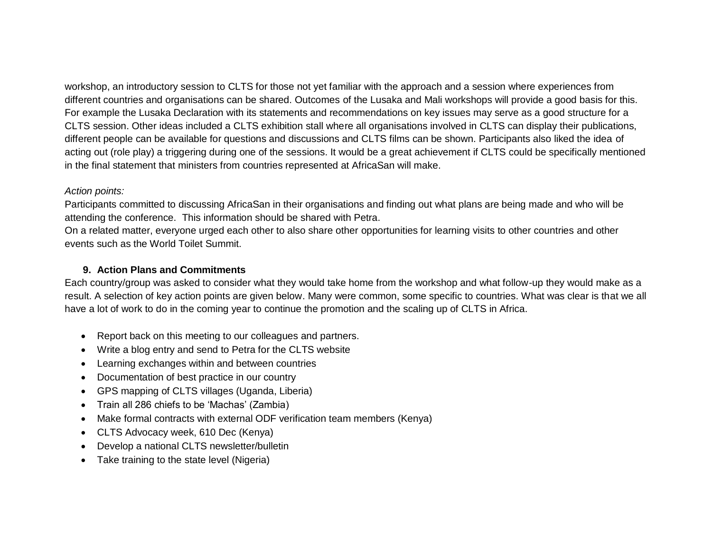workshop, an introductory session to CLTS for those not yet familiar with the approach and a session where experiences from different countries and organisations can be shared. Outcomes of the Lusaka and Mali workshops will provide a good basis for this. For example the Lusaka Declaration with its statements and recommendations on key issues may serve as a good structure for a CLTS session. Other ideas included a CLTS exhibition stall where all organisations involved in CLTS can display their publications, different people can be available for questions and discussions and CLTS films can be shown. Participants also liked the idea of acting out (role play) a triggering during one of the sessions. It would be a great achievement if CLTS could be specifically mentioned in the final statement that ministers from countries represented at AfricaSan will make.

#### *Action points:*

Participants committed to discussing AfricaSan in their organisations and finding out what plans are being made and who will be attending the conference. This information should be shared with Petra.

On a related matter, everyone urged each other to also share other opportunities for learning visits to other countries and other events such as the World Toilet Summit.

#### **9. Action Plans and Commitments**

Each country/group was asked to consider what they would take home from the workshop and what follow-up they would make as a result. A selection of key action points are given below. Many were common, some specific to countries. What was clear is that we all have a lot of work to do in the coming year to continue the promotion and the scaling up of CLTS in Africa.

- Report back on this meeting to our colleagues and partners.
- Write a blog entry and send to Petra for the CLTS website
- Learning exchanges within and between countries
- Documentation of best practice in our country
- GPS mapping of CLTS villages (Uganda, Liberia)
- Train all 286 chiefs to be 'Machas' (Zambia)
- Make formal contracts with external ODF verification team members (Kenya)
- CLTS Advocacy week, 610 Dec (Kenya)
- Develop a national CLTS newsletter/bulletin
- Take training to the state level (Nigeria)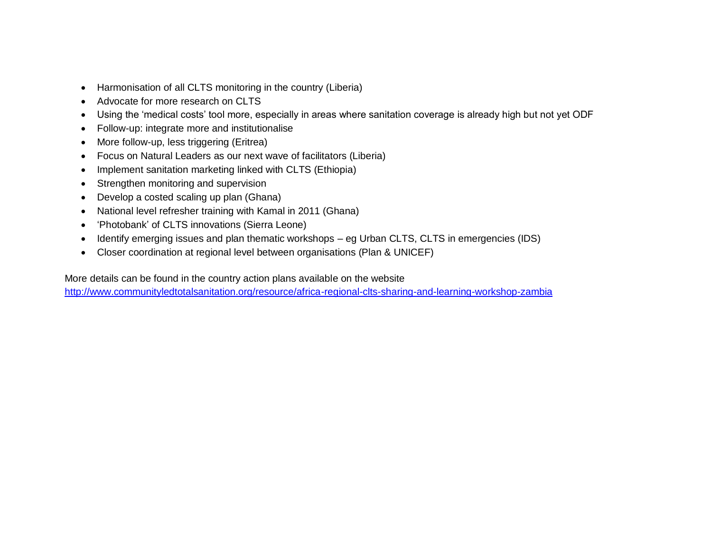- Harmonisation of all CLTS monitoring in the country (Liberia)
- Advocate for more research on CLTS
- Using the "medical costs" tool more, especially in areas where sanitation coverage is already high but not yet ODF
- Follow-up: integrate more and institutionalise
- More follow-up, less triggering (Eritrea)
- Focus on Natural Leaders as our next wave of facilitators (Liberia)
- Implement sanitation marketing linked with CLTS (Ethiopia)
- Strengthen monitoring and supervision
- Develop a costed scaling up plan (Ghana)
- National level refresher training with Kamal in 2011 (Ghana)
- 'Photobank' of CLTS innovations (Sierra Leone)
- Identify emerging issues and plan thematic workshops eg Urban CLTS, CLTS in emergencies (IDS)
- Closer coordination at regional level between organisations (Plan & UNICEF)

More details can be found in the country action plans available on the website

<http://www.communityledtotalsanitation.org/resource/africa-regional-clts-sharing-and-learning-workshop-zambia>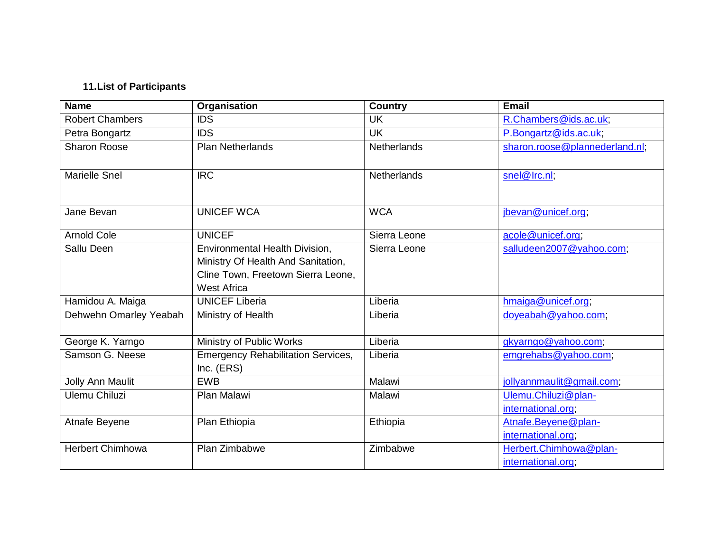## **11.List of Participants**

| <b>Name</b>             | Organisation                                                                                                                     | <b>Country</b>     | <b>Email</b>                                 |
|-------------------------|----------------------------------------------------------------------------------------------------------------------------------|--------------------|----------------------------------------------|
| <b>Robert Chambers</b>  | <b>IDS</b>                                                                                                                       | <b>UK</b>          | R.Chambers@ids.ac.uk;                        |
| Petra Bongartz          | <b>IDS</b>                                                                                                                       | <b>UK</b>          | P.Bongartz@ids.ac.uk;                        |
| <b>Sharon Roose</b>     | <b>Plan Netherlands</b>                                                                                                          | <b>Netherlands</b> | sharon.roose@plannederland.nl;               |
| <b>Marielle Snel</b>    | <b>IRC</b>                                                                                                                       | <b>Netherlands</b> | snel@Irc.nl;                                 |
| Jane Bevan              | <b>UNICEF WCA</b>                                                                                                                | <b>WCA</b>         | jbevan@unicef.org;                           |
| <b>Arnold Cole</b>      | <b>UNICEF</b>                                                                                                                    | Sierra Leone       | acole@unicef.org;                            |
| Sallu Deen              | Environmental Health Division,<br>Ministry Of Health And Sanitation,<br>Cline Town, Freetown Sierra Leone,<br><b>West Africa</b> | Sierra Leone       | salludeen2007@yahoo.com;                     |
| Hamidou A. Maiga        | <b>UNICEF Liberia</b>                                                                                                            | Liberia            | hmaiga@unicef.org;                           |
| Dehwehn Omarley Yeabah  | Ministry of Health                                                                                                               | Liberia            | doyeabah@yahoo.com;                          |
| George K. Yarngo        | Ministry of Public Works                                                                                                         | Liberia            | gkyarngo@yahoo.com;                          |
| Samson G. Neese         | <b>Emergency Rehabilitation Services,</b><br>Inc. $(ERS)$                                                                        | Liberia            | emgrehabs@yahoo.com;                         |
| Jolly Ann Maulit        | <b>EWB</b>                                                                                                                       | Malawi             | jollyannmaulit@gmail.com;                    |
| Ulemu Chiluzi           | Plan Malawi                                                                                                                      | Malawi             | Ulemu.Chiluzi@plan-<br>international.org;    |
| Atnafe Beyene           | Plan Ethiopia                                                                                                                    | Ethiopia           | Atnafe.Beyene@plan-<br>international.org;    |
| <b>Herbert Chimhowa</b> | Plan Zimbabwe                                                                                                                    | Zimbabwe           | Herbert.Chimhowa@plan-<br>international.org; |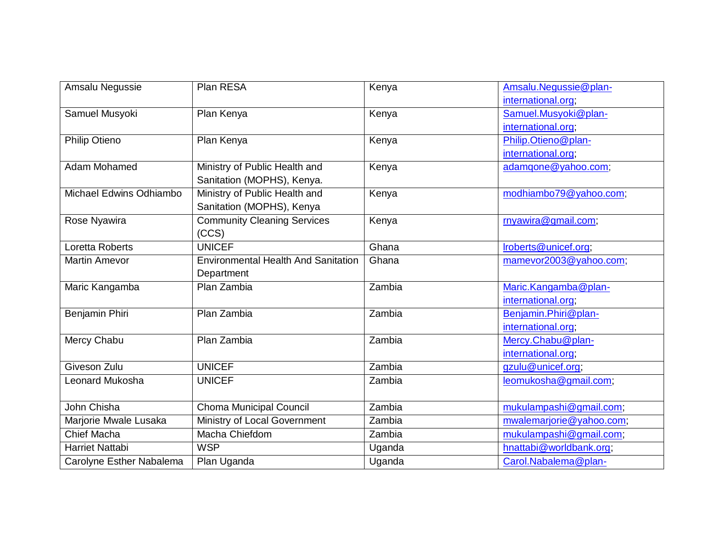| Amsalu Negussie          | Plan RESA                                  | Kenya  | Amsalu.Negussie@plan-    |
|--------------------------|--------------------------------------------|--------|--------------------------|
|                          |                                            |        | international.org;       |
| Samuel Musyoki           | Plan Kenya                                 | Kenya  | Samuel.Musyoki@plan-     |
|                          |                                            |        | international.org        |
| <b>Philip Otieno</b>     | Plan Kenya                                 | Kenya  | Philip.Otieno@plan-      |
|                          |                                            |        | international.org;       |
| Adam Mohamed             | Ministry of Public Health and              | Kenya  | adamqone@yahoo.com;      |
|                          | Sanitation (MOPHS), Kenya.                 |        |                          |
| Michael Edwins Odhiambo  | Ministry of Public Health and              | Kenya  | modhiambo79@yahoo.com;   |
|                          | Sanitation (MOPHS), Kenya                  |        |                          |
| Rose Nyawira             | <b>Community Cleaning Services</b>         | Kenya  | rnyawira@gmail.com;      |
|                          | (CCS)                                      |        |                          |
| Loretta Roberts          | <b>UNICEF</b>                              | Ghana  | Iroberts@unicef.org;     |
| <b>Martin Amevor</b>     | <b>Environmental Health And Sanitation</b> | Ghana  | mamevor2003@yahoo.com;   |
|                          | Department                                 |        |                          |
| Maric Kangamba           | Plan Zambia                                | Zambia | Maric.Kangamba@plan-     |
|                          |                                            |        | international.org;       |
| Benjamin Phiri           | Plan Zambia                                | Zambia | Benjamin.Phiri@plan-     |
|                          |                                            |        | international.org;       |
| Mercy Chabu              | Plan Zambia                                | Zambia | Mercy.Chabu@plan-        |
|                          |                                            |        | international.org;       |
| Giveson Zulu             | <b>UNICEF</b>                              | Zambia | gzulu@unicef.org,        |
| Leonard Mukosha          | <b>UNICEF</b>                              | Zambia | leomukosha@gmail.com;    |
|                          |                                            |        |                          |
| John Chisha              | <b>Choma Municipal Council</b>             | Zambia | mukulampashi@gmail.com;  |
| Marjorie Mwale Lusaka    | Ministry of Local Government               | Zambia | mwalemarjorie@yahoo.com; |
| Chief Macha              | Macha Chiefdom                             | Zambia | mukulampashi@gmail.com;  |
| <b>Harriet Nattabi</b>   | <b>WSP</b>                                 | Uganda | hnattabi@worldbank.org;  |
| Carolyne Esther Nabalema | Plan Uganda                                | Uganda | Carol.Nabalema@plan-     |